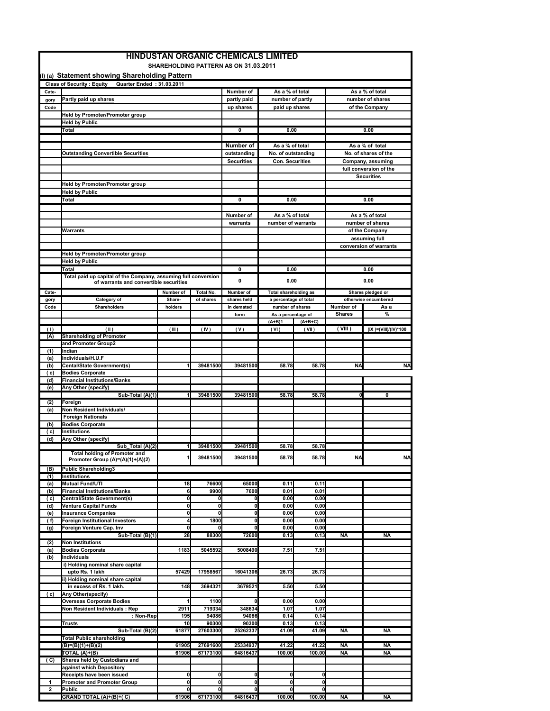|              |                                                                                                                 |                |                          | SHAREHOLDING PATTERN AS ON 31.03.2011 |                              |                    |                        |                                             |
|--------------|-----------------------------------------------------------------------------------------------------------------|----------------|--------------------------|---------------------------------------|------------------------------|--------------------|------------------------|---------------------------------------------|
|              | (I) (a) Statement showing Shareholding Pattern<br>Quarter Ended: 31.03.2011<br><b>Class of Security: Equity</b> |                |                          |                                       |                              |                    |                        |                                             |
| Cate-        |                                                                                                                 |                |                          | Number of                             | As a % of total              |                    |                        | As a % of total                             |
| gory         | Partly paid up shares                                                                                           |                |                          | partly paid                           | number of partly             |                    | number of shares       |                                             |
| Code         |                                                                                                                 |                |                          | up shares                             | paid up shares               |                    | of the Company         |                                             |
|              | Held by Promoter/Promoter group                                                                                 |                |                          |                                       |                              |                    |                        |                                             |
|              | <b>Held by Public</b><br>Total                                                                                  |                |                          | 0                                     | 0.00                         |                    | 0.00                   |                                             |
|              |                                                                                                                 |                |                          |                                       |                              |                    |                        |                                             |
|              |                                                                                                                 |                |                          | Number of                             | As a % of total              |                    |                        | As a % of total                             |
|              | <b>Outstanding Convertible Securities</b>                                                                       |                |                          | outstanding                           | No. of outstanding           |                    | No. of shares of the   |                                             |
|              |                                                                                                                 |                |                          | <b>Securities</b>                     | <b>Con. Securities</b>       |                    |                        | Company, assuming                           |
|              |                                                                                                                 |                |                          |                                       |                              |                    |                        | full conversion of the<br><b>Securities</b> |
|              | Held by Promoter/Promoter group                                                                                 |                |                          |                                       |                              |                    |                        |                                             |
|              | <b>Held by Public</b>                                                                                           |                |                          |                                       |                              |                    |                        |                                             |
|              | Total                                                                                                           |                |                          | 0                                     | 0.00                         |                    |                        | 0.00                                        |
|              |                                                                                                                 |                |                          |                                       |                              |                    |                        |                                             |
|              |                                                                                                                 |                |                          | Number of                             | As a % of total              |                    |                        | As a % of total                             |
|              | <u>Warrants</u>                                                                                                 |                |                          | warrants                              | number of warrants           |                    |                        | number of shares<br>of the Company          |
|              |                                                                                                                 |                |                          |                                       |                              |                    |                        | assuming full                               |
|              |                                                                                                                 |                |                          |                                       |                              |                    |                        | conversion of warrants                      |
|              | Held by Promoter/Promoter group                                                                                 |                |                          |                                       |                              |                    |                        |                                             |
|              | <b>Held by Public</b>                                                                                           |                |                          |                                       |                              |                    |                        |                                             |
|              | Total                                                                                                           |                |                          | 0                                     | 0.00                         |                    |                        | 0.00                                        |
|              | Total paid up capital of the Company, assuming full conversion<br>of warrants and convertible securities        |                |                          | 0                                     | 0.00                         |                    |                        | 0.00                                        |
| Cate-        |                                                                                                                 | Number of      | <b>Total No.</b>         | Number of                             | <b>Total shareholding as</b> |                    |                        | Shares pledged or                           |
| gory         | Category of                                                                                                     | Share-         | of shares                | shares held                           | a percentage of total        |                    |                        | otherwise encumbered                        |
| Code         | Shareholders                                                                                                    | holders        |                          | in demated                            | number of shares             |                    | Number of              | As a                                        |
|              |                                                                                                                 |                |                          | form                                  | As a percentage of           |                    | <b>Shares</b>          | $\%$                                        |
| (1)          | (1)                                                                                                             | (III)          | (IV)                     | (V)                                   | $(A+B)1$<br>(VI)             | $(A+B+C)$<br>(VII) | (VIII)                 | (IX )=(VIII)/(IV)*100                       |
| (A)          | <b>Shareholding of Promoter</b>                                                                                 |                |                          |                                       |                              |                    |                        |                                             |
|              | and Promoter Group2                                                                                             |                |                          |                                       |                              |                    |                        |                                             |
| (1)          | Indian                                                                                                          |                |                          |                                       |                              |                    |                        |                                             |
| (a)<br>(b)   | Individuals/H.U.F<br><b>Cental/State Government(s)</b>                                                          |                | 39481500                 | 39481500                              | 58.78                        | 58.78              | <b>NA</b>              | <b>NA</b>                                   |
| ( c)         | <b>Bodies Corporate</b>                                                                                         |                |                          |                                       |                              |                    |                        |                                             |
| (d)          | <b>Financial Institutions/Banks</b>                                                                             |                |                          |                                       |                              |                    |                        |                                             |
| (e)          | Any Other (specify)                                                                                             |                |                          |                                       |                              |                    |                        |                                             |
|              | Sub-Total (A)(1)                                                                                                | 1              | 39481500                 | 39481500                              | 58.78                        | 58.78              | $\Omega$               | 0                                           |
| (2)<br>(a)   | Foreign<br>Non Resident Individuals/                                                                            |                |                          |                                       |                              |                    |                        |                                             |
|              | <b>Foreign Nationals</b>                                                                                        |                |                          |                                       |                              |                    |                        |                                             |
| (b)          | <b>Bodies Corporate</b>                                                                                         |                |                          |                                       |                              |                    |                        |                                             |
| (c)          | <b>Institutions</b>                                                                                             |                |                          |                                       |                              |                    |                        |                                             |
| (d)          | Any Other (specify)<br>Sub_Total (A)(2)                                                                         | 1              | 39481500                 | 39481500                              | 58.78                        | 58.78              |                        |                                             |
|              | Total holding of Promoter and                                                                                   |                |                          |                                       |                              |                    |                        |                                             |
|              | Promoter Group (A)=(A)(1)+(A)(2)                                                                                |                | 39481500                 | 39481500                              | 58.78                        | 58.78              | <b>NA</b>              | <b>NA</b>                                   |
| (B)          | <b>Public Shareholding3</b>                                                                                     |                |                          |                                       |                              |                    |                        |                                             |
| (1)          | <b>Institutions</b>                                                                                             |                |                          | 65000                                 |                              |                    |                        |                                             |
| (a)<br>(b)   | <b>Mutual Fund/UTI</b><br><b>Financial Institutions/Banks</b>                                                   | 18<br>6        | 76600<br>9900            | 7600                                  | 0.11<br>0.01                 | 0.11<br>0.01       |                        |                                             |
| ( c)         | Central/State Government(s)                                                                                     | O              | 0                        | $\mathbf{0}$                          | 0.00                         | 0.00               |                        |                                             |
| (d)          | <b>Venture Capital Funds</b>                                                                                    | 0l             | 0                        | $\mathbf{0}$                          | 0.00                         | 0.00               |                        |                                             |
| (e)          | <b>Insurance Companies</b>                                                                                      | 0              | 0                        | 0                                     | 0.00                         | 0.00               |                        |                                             |
| (f)<br>(g)   | Foreign Institutional Investors<br>Foreign Venture Cap. Inv                                                     | 4<br>0         | 1800<br>$\mathbf{0}$     | 0<br>$\mathbf 0$                      | 0.00<br>0.00                 | 0.00<br>0.00       |                        |                                             |
|              | Sub-Total (B)(1)                                                                                                | 28             | 88300                    | 72600                                 | 0.13                         | 0.13               | <b>NA</b>              | <b>NA</b>                                   |
| (2)          | <b>Non Institutions</b>                                                                                         |                |                          |                                       |                              |                    |                        |                                             |
| (a)          | <b>Bodies Corporate</b>                                                                                         | 1183           | 5045592                  | 5008490                               | 7.51                         | 7.51               |                        |                                             |
| (b)          | Individuals                                                                                                     |                |                          |                                       |                              |                    |                        |                                             |
|              | i) Holding nominal share capital<br>upto Rs. 1 lakh                                                             | 57429          | 17958567                 | 16041306                              | 26.73                        | 26.73              |                        |                                             |
|              | ii) Holding nominal share capital                                                                               |                |                          |                                       |                              |                    |                        |                                             |
|              | in excess of Rs. 1 lakh.                                                                                        | 148            | 3694321                  | 3679521                               | 5.50                         | 5.50               |                        |                                             |
| ( c)         | Any Other(specify)                                                                                              |                |                          |                                       |                              |                    |                        |                                             |
|              | <b>Overseas Corporate Bodies</b><br>Non Resident Individuals: Rep                                               | 1<br>2911      | 1100<br>719334           | 0l<br>348634                          | 0.00<br>1.07                 | 0.00<br>1.07       |                        |                                             |
|              | : Non-Rep                                                                                                       | 195            | 94086                    | 94086                                 | 0.14                         | 0.14               |                        |                                             |
|              | <b>Trusts</b>                                                                                                   | 10             | 90300                    | 90300                                 | 0.13                         | 0.13               |                        |                                             |
|              | Sub-Total (B)(2)                                                                                                | 61877          | 27603300                 | 25262337                              | 41.09                        | 41.09              | <b>NA</b>              | <b>NA</b>                                   |
|              | <b>Total Public shareholding</b>                                                                                |                |                          |                                       |                              |                    |                        |                                             |
|              | $(B)=(B)(1)+(B)(2)$<br>TOTAL (A)+(B)                                                                            | 61905<br>61906 | 27691600<br>67173100     | 25334937<br>64816437                  | 41.22<br>100.00              | 41.22<br>100.00    | <b>NA</b><br><b>NA</b> | <b>NA</b><br><b>NA</b>                      |
| (C)          | Shares held by Custodians and                                                                                   |                |                          |                                       |                              |                    |                        |                                             |
|              | against which Depository                                                                                        |                |                          |                                       |                              |                    |                        |                                             |
|              | Receipts have been issued                                                                                       | 01             | 0                        | $\mathbf{0}$                          | 0                            | 0                  |                        |                                             |
|              |                                                                                                                 |                |                          |                                       |                              |                    |                        |                                             |
| $\mathbf{1}$ | <b>Promoter and Promoter Group</b>                                                                              | 0l             | 0                        | 0                                     | 0l                           | 0                  |                        |                                             |
| 2            | Public<br>GRAND TOTAL (A)+(B)+(C)                                                                               | 0<br>61906     | $\mathbf{0}$<br>67173100 | $\mathbf{0}$<br>64816437              | 0<br>100.00                  | 0<br>100.00        | <b>NA</b>              | <b>NA</b>                                   |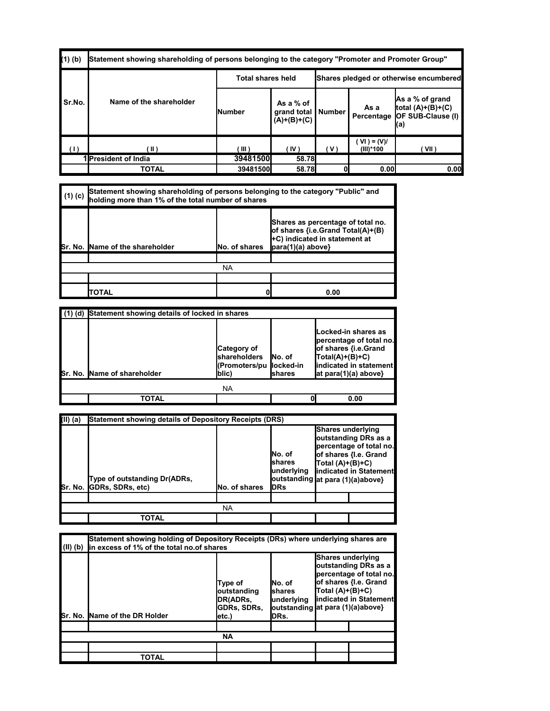| $(1)$ $(b)$ | "Statement showing shareholding of persons belonging to the category "Promoter and Promoter Group" |                          |                                           |                                        |                              |                                                                                       |  |  |
|-------------|----------------------------------------------------------------------------------------------------|--------------------------|-------------------------------------------|----------------------------------------|------------------------------|---------------------------------------------------------------------------------------|--|--|
|             |                                                                                                    | <b>Total shares held</b> |                                           | Shares pledged or otherwise encumbered |                              |                                                                                       |  |  |
| Sr.No.      | Name of the shareholder                                                                            | lNumber                  | As a % of<br>grand total<br>$(A)+(B)+(C)$ | Number                                 | As a                         | As a % of grand<br>total $(A)+(B)+(C)$<br>Percentage <b>JOF SUB-Clause (I)</b><br>(a) |  |  |
|             | ( II )                                                                                             | $III$ )                  | (IV)                                      | 'V.                                    | $(VI) = (V)I$<br>$(III)*100$ | ( VII )                                                                               |  |  |
|             | 1lPresident of India                                                                               | 39481500                 | <b>58.78</b>                              |                                        |                              |                                                                                       |  |  |
|             | <b>TOTAL</b>                                                                                       | 39481500                 | 58.78                                     |                                        | 0.00                         | 0.00                                                                                  |  |  |

| $(1)$ (c) | Statement showing shareholding of persons belonging to the category "Public" and<br>holding more than 1% of the total number of shares |               |                                                                                                                                      |  |  |  |  |  |
|-----------|----------------------------------------------------------------------------------------------------------------------------------------|---------------|--------------------------------------------------------------------------------------------------------------------------------------|--|--|--|--|--|
|           | Sr. No. Name of the shareholder                                                                                                        | No. of shares | Shares as percentage of total no.<br>of shares {i.e.Grand Total(A)+(B)<br>+C) indicated in statement at<br>$\vert$ para(1)(a) above} |  |  |  |  |  |
|           |                                                                                                                                        |               |                                                                                                                                      |  |  |  |  |  |
|           | <b>NA</b>                                                                                                                              |               |                                                                                                                                      |  |  |  |  |  |
|           |                                                                                                                                        |               |                                                                                                                                      |  |  |  |  |  |
|           | TOTAL                                                                                                                                  |               | 0.00                                                                                                                                 |  |  |  |  |  |

| (d) | Statement showing details of locked in shares |                                                               |                                  |                                                                                                                                                    |  |  |  |  |
|-----|-----------------------------------------------|---------------------------------------------------------------|----------------------------------|----------------------------------------------------------------------------------------------------------------------------------------------------|--|--|--|--|
|     | <b>Sr. No. IName of shareholder</b>           | Category of<br><b>shareholders</b><br>(Promoters/pu<br>lblic) | INo. of<br>llocked-in<br>Ishares | Locked-in shares as<br>percentage of total no.<br>of shares {i.e.Grand<br>$[Total(A)+(B)+C)$<br>indicated in statement<br>$hat para(1)(a) above\}$ |  |  |  |  |
|     | <b>NA</b>                                     |                                                               |                                  |                                                                                                                                                    |  |  |  |  |
|     | TOTAL                                         |                                                               |                                  | 0.00                                                                                                                                               |  |  |  |  |

| (II) (a) | Statement showing details of Depository Receipts (DRS) |                      |                                                                                      |                                         |                                                                                                    |  |  |  |  |
|----------|--------------------------------------------------------|----------------------|--------------------------------------------------------------------------------------|-----------------------------------------|----------------------------------------------------------------------------------------------------|--|--|--|--|
| Sr. No.  | Type of outstanding Dr(ADRs,<br>GDRs, SDRs, etc)       | <b>No. of shares</b> | INo. of<br>Ishares<br>underlying<br>loutstanding at para (1)(a)above}<br><b>IDRs</b> | Shares underlying<br>$Total (A)+(B)+C)$ | outstanding DRs as a<br>percentage of total no.<br>of shares {I.e. Grand<br>indicated in Statement |  |  |  |  |
|          |                                                        |                      |                                                                                      |                                         |                                                                                                    |  |  |  |  |
|          | <b>NA</b>                                              |                      |                                                                                      |                                         |                                                                                                    |  |  |  |  |
|          | <b>TOTAL</b>                                           |                      |                                                                                      |                                         |                                                                                                    |  |  |  |  |

| $(II)$ (b) | Statement showing holding of Depository Receipts (DRs) where underlying shares are<br>in excess of 1% of the total no.of shares |                                                                            |                                                                                 |                                         |                                                                                                    |  |  |  |
|------------|---------------------------------------------------------------------------------------------------------------------------------|----------------------------------------------------------------------------|---------------------------------------------------------------------------------|-----------------------------------------|----------------------------------------------------------------------------------------------------|--|--|--|
|            | Sr. No. Name of the DR Holder                                                                                                   | Type of<br>loutstanding<br><b>DR(ADRs.</b><br><b>GDRs, SDRs,</b><br>letc.) | INo. of<br>Ishares<br>lunderlying<br> outstanding  at para (1)(a)above}<br>DRs. | Shares underlying<br>$Total (A)+(B)+C)$ | outstanding DRs as a<br>percentage of total no.<br>of shares {I.e. Grand<br>indicated in Statement |  |  |  |
|            |                                                                                                                                 |                                                                            |                                                                                 |                                         |                                                                                                    |  |  |  |
| <b>NA</b>  |                                                                                                                                 |                                                                            |                                                                                 |                                         |                                                                                                    |  |  |  |
|            |                                                                                                                                 |                                                                            |                                                                                 |                                         |                                                                                                    |  |  |  |
|            | <b>TOTAL</b>                                                                                                                    |                                                                            |                                                                                 |                                         |                                                                                                    |  |  |  |